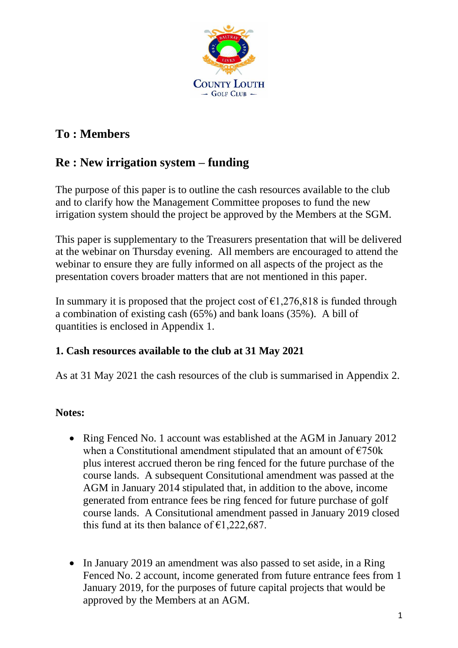

# **To : Members**

## **Re : New irrigation system – funding**

The purpose of this paper is to outline the cash resources available to the club and to clarify how the Management Committee proposes to fund the new irrigation system should the project be approved by the Members at the SGM.

This paper is supplementary to the Treasurers presentation that will be delivered at the webinar on Thursday evening. All members are encouraged to attend the webinar to ensure they are fully informed on all aspects of the project as the presentation covers broader matters that are not mentioned in this paper.

In summary it is proposed that the project cost of  $\epsilon$ 1,276,818 is funded through a combination of existing cash (65%) and bank loans (35%). A bill of quantities is enclosed in Appendix 1.

### **1. Cash resources available to the club at 31 May 2021**

As at 31 May 2021 the cash resources of the club is summarised in Appendix 2.

## **Notes:**

- Ring Fenced No. 1 account was established at the AGM in January 2012 when a Constitutional amendment stipulated that an amount of  $\epsilon$ 750k plus interest accrued theron be ring fenced for the future purchase of the course lands. A subsequent Consitutional amendment was passed at the AGM in January 2014 stipulated that, in addition to the above, income generated from entrance fees be ring fenced for future purchase of golf course lands. A Consitutional amendment passed in January 2019 closed this fund at its then balance of  $\epsilon$ 1,222,687.
- In January 2019 an amendment was also passed to set aside, in a Ring Fenced No. 2 account, income generated from future entrance fees from 1 January 2019, for the purposes of future capital projects that would be approved by the Members at an AGM.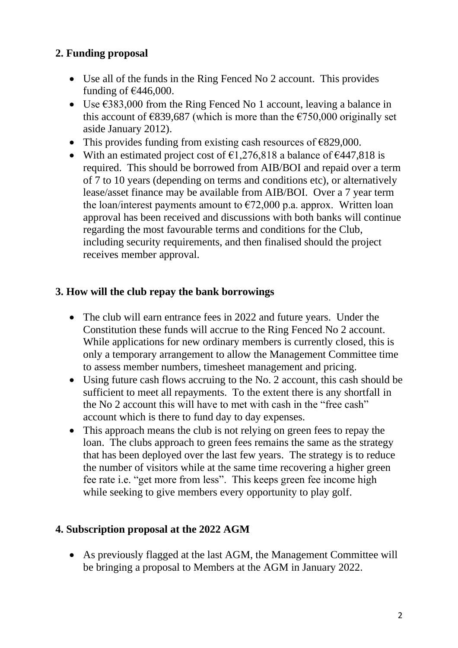## **2. Funding proposal**

- Use all of the funds in the Ring Fenced No 2 account. This provides funding of  $\text{\textsterling}446,000$ .
- Use  $\epsilon$ 383,000 from the Ring Fenced No 1 account, leaving a balance in this account of  $\epsilon$ 839,687 (which is more than the  $\epsilon$ 750,000 originally set aside January 2012).
- This provides funding from existing cash resources of  $\epsilon$ 829,000.
- With an estimated project cost of  $\epsilon$ 1,276,818 a balance of  $\epsilon$ 447,818 is required. This should be borrowed from AIB/BOI and repaid over a term of 7 to 10 years (depending on terms and conditions etc), or alternatively lease/asset finance may be available from AIB/BOI. Over a 7 year term the loan/interest payments amount to  $\epsilon$ 72,000 p.a. approx. Written loan approval has been received and discussions with both banks will continue regarding the most favourable terms and conditions for the Club, including security requirements, and then finalised should the project receives member approval.

### **3. How will the club repay the bank borrowings**

- The club will earn entrance fees in 2022 and future years. Under the Constitution these funds will accrue to the Ring Fenced No 2 account. While applications for new ordinary members is currently closed, this is only a temporary arrangement to allow the Management Committee time to assess member numbers, timesheet management and pricing.
- Using future cash flows accruing to the No. 2 account, this cash should be sufficient to meet all repayments. To the extent there is any shortfall in the No 2 account this will have to met with cash in the "free cash" account which is there to fund day to day expenses.
- This approach means the club is not relying on green fees to repay the loan. The clubs approach to green fees remains the same as the strategy that has been deployed over the last few years. The strategy is to reduce the number of visitors while at the same time recovering a higher green fee rate i.e. "get more from less". This keeps green fee income high while seeking to give members every opportunity to play golf.

### **4. Subscription proposal at the 2022 AGM**

• As previously flagged at the last AGM, the Management Committee will be bringing a proposal to Members at the AGM in January 2022.